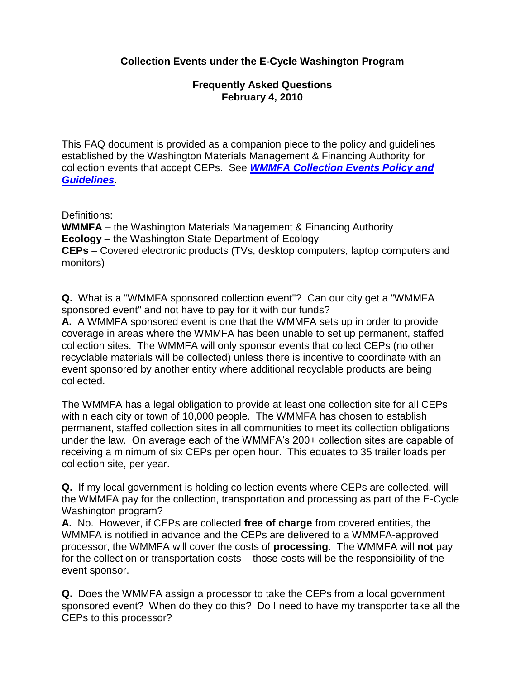## **Collection Events under the E-Cycle Washington Program**

## **Frequently Asked Questions February 4, 2010**

This FAQ document is provided as a companion piece to the policy and guidelines established by the Washington Materials Management & Financing Authority for collection events that accept CEPs. See *WMMFA [Collection Events Policy and](http://www.wmmfa.net/documents/pdf/WMMFACollectioneventpolicyandguidelines12-12-2008.pdf)  [Guidelines](http://www.wmmfa.net/documents/pdf/WMMFACollectioneventpolicyandguidelines12-12-2008.pdf)*.

Definitions:

**WMMFA** – the Washington Materials Management & Financing Authority **Ecology** – the Washington State Department of Ecology **CEPs** – Covered electronic products (TVs, desktop computers, laptop computers and monitors)

**Q.** What is a "WMMFA sponsored collection event"? Can our city get a "WMMFA sponsored event" and not have to pay for it with our funds?

**A.** A WMMFA sponsored event is one that the WMMFA sets up in order to provide coverage in areas where the WMMFA has been unable to set up permanent, staffed collection sites. The WMMFA will only sponsor events that collect CEPs (no other recyclable materials will be collected) unless there is incentive to coordinate with an event sponsored by another entity where additional recyclable products are being collected.

The WMMFA has a legal obligation to provide at least one collection site for all CEPs within each city or town of 10,000 people. The WMMFA has chosen to establish permanent, staffed collection sites in all communities to meet its collection obligations under the law. On average each of the WMMFA's 200+ collection sites are capable of receiving a minimum of six CEPs per open hour. This equates to 35 trailer loads per collection site, per year.

**Q.** If my local government is holding collection events where CEPs are collected, will the WMMFA pay for the collection, transportation and processing as part of the E-Cycle Washington program?

**A.** No. However, if CEPs are collected **free of charge** from covered entities, the WMMFA is notified in advance and the CEPs are delivered to a WMMFA-approved processor, the WMMFA will cover the costs of **processing**. The WMMFA will **not** pay for the collection or transportation costs – those costs will be the responsibility of the event sponsor.

**Q.** Does the WMMFA assign a processor to take the CEPs from a local government sponsored event? When do they do this? Do I need to have my transporter take all the CEPs to this processor?